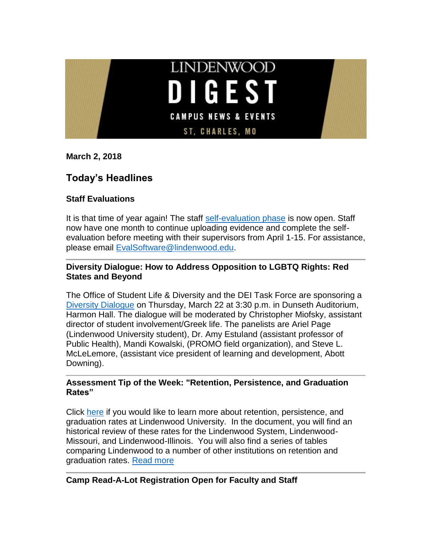

**March 2, 2018**

# **Today's Headlines**

## **Staff Evaluations**

It is that time of year again! The staff [self-evaluation phase](https://selfeval.lindenwood.edu/) is now open. Staff now have one month to continue uploading evidence and complete the selfevaluation before meeting with their supervisors from April 1-15. For assistance, please email [EvalSoftware@lindenwood.edu.](EvalSoftware@lindenwood.edu)

## **Diversity Dialogue: How to Address Opposition to LGBTQ Rights: Red States and Beyond**

The Office of Student Life & Diversity and the DEI Task Force are sponsoring a [Diversity Dialogue](http://felix.lindenwood.edu/newsletter/2018_03/diversity.pdf) on Thursday, March 22 at 3:30 p.m. in Dunseth Auditorium, Harmon Hall. The dialogue will be moderated by Christopher Miofsky, assistant director of student involvement/Greek life. The panelists are Ariel Page (Lindenwood University student), Dr. Amy Estuland (assistant professor of Public Health), Mandi Kowalski, (PROMO field organization), and Steve L. McLeLemore, (assistant vice president of learning and development, Abott Downing).

## **Assessment Tip of the Week: "Retention, Persistence, and Graduation Rates"**

Click [here](https://lindenwood.libguides.com/ld.php?content_id=40616667) if you would like to learn more about retention, persistence, and graduation rates at Lindenwood University. In the document, you will find an historical review of these rates for the Lindenwood System, Lindenwood-Missouri, and Lindenwood-Illinois. You will also find a series of tables comparing Lindenwood to a number of other institutions on retention and graduation rates. [Read more](http://felix.lindenwood.edu/newsletter/2018_03/tip_03_03.pdf)

# **Camp Read-A-Lot Registration Open for Faculty and Staff**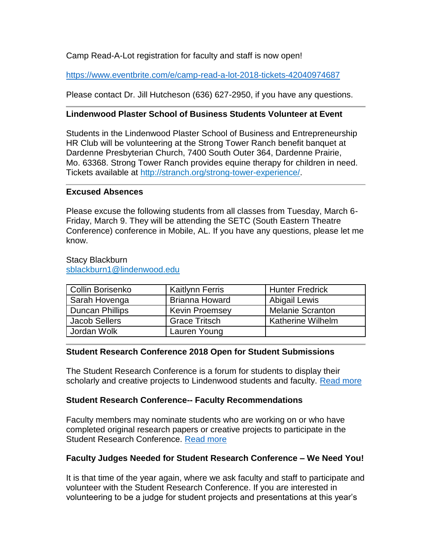Camp Read-A-Lot registration for faculty and staff is now open!

<https://www.eventbrite.com/e/camp-read-a-lot-2018-tickets-42040974687>

Please contact Dr. Jill Hutcheson (636) 627-2950, if you have any questions.

## **Lindenwood Plaster School of Business Students Volunteer at Event**

Students in the Lindenwood Plaster School of Business and Entrepreneurship HR Club will be volunteering at the Strong Tower Ranch benefit banquet at Dardenne Presbyterian Church, 7400 South Outer 364, Dardenne Prairie, Mo. 63368. Strong Tower Ranch provides equine therapy for children in need. Tickets available at [http://stranch.org/strong-tower-experience/.](http://stranch.org/strong-tower-experience/)

## **Excused Absences**

Please excuse the following students from all classes from Tuesday, March 6- Friday, March 9. They will be attending the SETC (South Eastern Theatre Conference) conference in Mobile, AL. If you have any questions, please let me know.

#### Stacy Blackburn [sblackburn1@lindenwood.edu](mailto:sblackburn1@lindenwood.edu)

| Collin Borisenko       | <b>Kaitlynn Ferris</b> | <b>Hunter Fredrick</b>   |
|------------------------|------------------------|--------------------------|
| Sarah Hovenga          | <b>Brianna Howard</b>  | <b>Abigail Lewis</b>     |
| <b>Duncan Phillips</b> | <b>Kevin Proemsey</b>  | <b>Melanie Scranton</b>  |
| <b>Jacob Sellers</b>   | <b>Grace Tritsch</b>   | <b>Katherine Wilhelm</b> |
| Jordan Wolk            | Lauren Young           |                          |

## **Student Research Conference 2018 Open for Student Submissions**

The Student Research Conference is a forum for students to display their scholarly and creative projects to Lindenwood students and faculty. [Read more](http://felix.lindenwood.edu/newsletter/2018_02/studentresearchconference.pdf)

## **Student Research Conference-- Faculty Recommendations**

Faculty members may nominate students who are working on or who have completed original research papers or creative projects to participate in the Student Research Conference. [Read more](http://felix.lindenwood.edu/newsletter/2018_02/studentresearchconference.pdf)

# **Faculty Judges Needed for Student Research Conference – We Need You!**

It is that time of the year again, where we ask faculty and staff to participate and volunteer with the Student Research Conference. If you are interested in volunteering to be a judge for student projects and presentations at this year's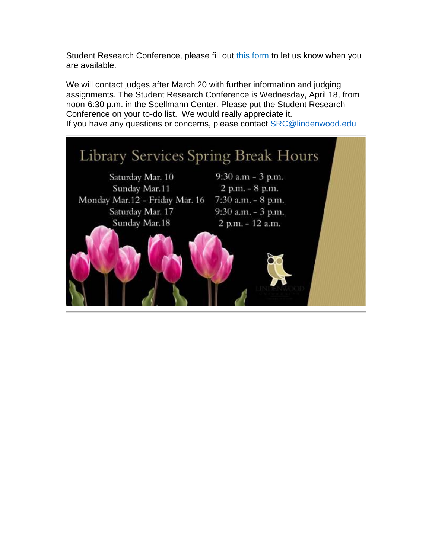Student Research Conference, please fill out [this form](http://www.lindenwood.edu/academics/beyond-the-classroom/student-research/faculty-judge-volunteer-form/) to let us know when you are available.

We will contact judges after March 20 with further information and judging assignments. The Student Research Conference is Wednesday, April 18, from noon-6:30 p.m. in the Spellmann Center. Please put the Student Research Conference on your to-do list. We would really appreciate it. If you have any questions or concerns, please contact [SRC@lindenwood.edu](mailto:SRC@lindenwood.edu )

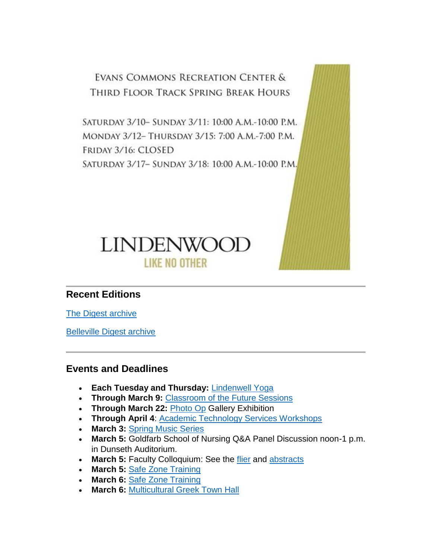EVANS COMMONS RECREATION CENTER & THIRD FLOOR TRACK SPRING BREAK HOURS

SATURDAY 3/10- SUNDAY 3/11: 10:00 A.M.-10:00 P.M. MONDAY 3/12- THURSDAY 3/15: 7:00 A.M.-7:00 P.M. FRIDAY 3/16: CLOSED SATURDAY 3/17- SUNDAY 3/18: 10:00 A.M.-10:00 P.M.



# **Recent Editions**

[The Digest archive](http://www.lindenwood.edu/about/digest-archives/)

[Belleville Digest archive](http://www.lindenwood.edu/belleville/about/lindenwood-belleville-digest-archives/)

# **Events and Deadlines**

- **Each Tuesday and Thursday:** [Lindenwell Yoga](http://felix.lindenwood.edu/newsletter/2018_02/lindenwellyoga.pdf)
- **Through March 9:** [Classroom of the Future Sessions](http://felix.lindenwood.edu/newsletter/2018_02/classroomofthefuture.pdf)
- **Through March 22:** [Photo Op](http://felix.lindenwood.edu/newsletter/2018_02/photoop.pdf) Gallery Exhibition
- **Through April 4**: [Academic Technology Services Workshops](http://felix.lindenwood.edu/newsletter/2018_01/ats_spring_catalog.pdf)
- **March 3:** [Spring Music Series](http://www.lindenwood.edu/j-scheidegger-center-for-the-arts/upcoming-events/music/)
- **March 5:** Goldfarb School of Nursing Q&A Panel Discussion noon-1 p.m. in Dunseth Auditorium.
- March 5: Faculty Colloquium: See the [flier](http://felix.lindenwood.edu/newsletter/2018_01/colloquiumflier.pdf) and [abstracts](http://felix.lindenwood.edu/newsletter/2018_01/colloquiumabstracts.pdf)
- **March 5:** [Safe Zone Training](http://felix.lindenwood.edu/newsletter/2018_02/safezone.pdf)
- **March 6:** Safe [Zone Training](http://felix.lindenwood.edu/newsletter/2018_02/safezone.pdf)
- **March 6:** [Multicultural Greek Town Hall](http://felix.lindenwood.edu/newsletter/2018_02/greektownhall.pdf)